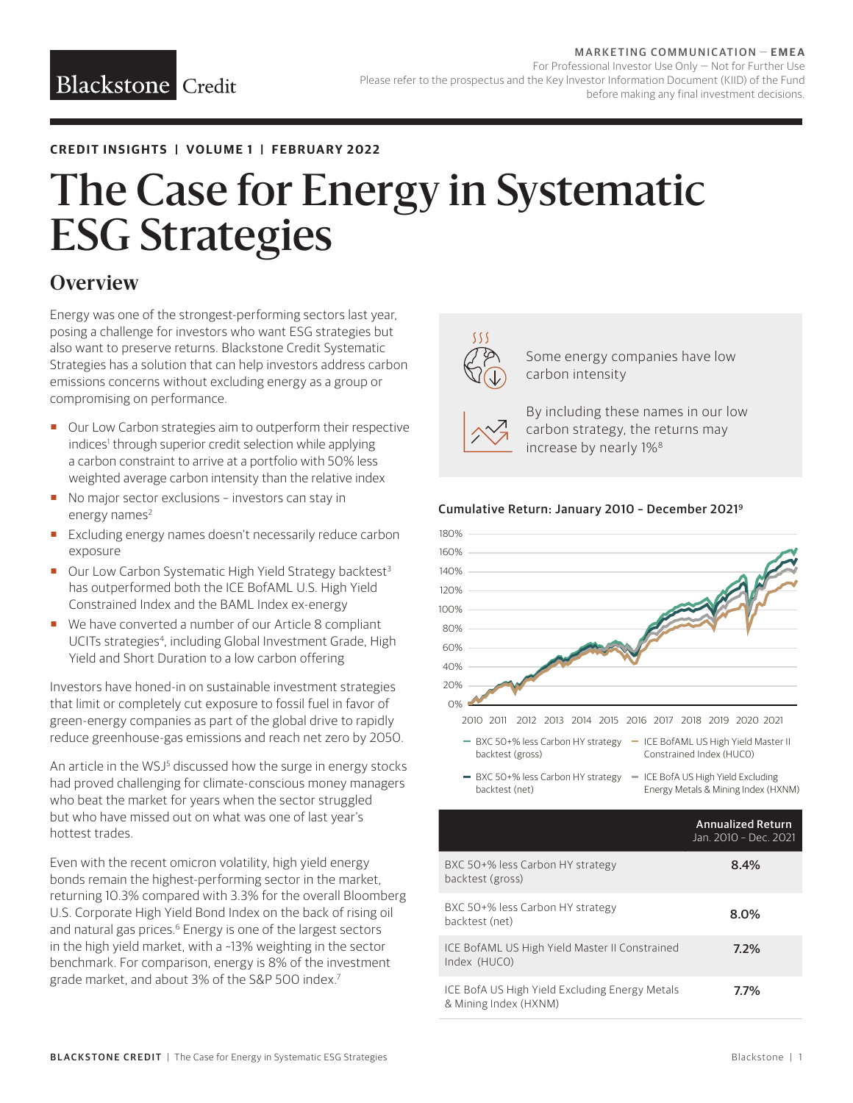#### **CREDIT INSIGHTS | VOLUME 1 | FEBRUARY 2022**

# The Case for Energy in Systematic ESG Strategies

## **Overview**

Energy was one of the strongest-performing sectors last year, posing a challenge for investors who want ESG strategies but also want to preserve returns. Blackstone Credit Systematic Strategies has a solution that can help investors address carbon emissions concerns without excluding energy as a group or compromising on performance.

- Our Low Carbon strategies aim to outperform their respective indices<sup>1</sup> through superior credit selection while applying a carbon constraint to arrive at a portfolio with 50% less weighted average carbon intensity than the relative index
- No major sector exclusions investors can stay in energy names<sup>2</sup>
- **Excluding energy names doesn't necessarily reduce carbon** exposure
- Our Low Carbon Systematic High Yield Strategy backtest<sup>3</sup> has outperformed both the ICE BofAML U.S. High Yield Constrained Index and the BAML Index ex-energy
- We have converted a number of our Article 8 compliant UCITs strategies<sup>4</sup>, including Global Investment Grade, High Yield and Short Duration to a low carbon offering

Investors have honed-in on sustainable investment strategies that limit or completely cut exposure to fossil fuel in favor of green-energy companies as part of the global drive to rapidly reduce greenhouse-gas emissions and reach net zero by 2050.

An article in the WSJ<sup>5</sup> discussed how the surge in energy stocks had proved challenging for climate-conscious money managers who beat the market for years when the sector struggled but who have missed out on what was one of last year's hottest trades.

Even with the recent omicron volatility, high yield energy bonds remain the highest-performing sector in the market, returning 10.3% compared with 3.3% for the overall Bloomberg U.S. Corporate High Yield Bond Index on the back of rising oil and natural gas prices.<sup>6</sup> Energy is one of the largest sectors in the high yield market, with a ~13% weighting in the sector benchmark. For comparison, energy is 8% of the investment grade market, and about 3% of the S&P 500 index.7



 Some energy companies have low carbon intensity

backtest (gross)

 By including these names in our low carbon strategy, the returns may increase by nearly 1%8

#### Cumulative Return: January 2010 – December 20219



- BXC 50+% less Carbon HY strategy ICE BofAML US High Yield Master II Constrained Index (HUC0)
- BXC 50+% less Carbon HY strategy = ICE BofA US High Yield Excluding backtest (net) Energy Metals & Mining Index (HXNM)

|                                                                         | <b>Annualized Return</b><br>Jan. 2010 - Dec. 2021 |
|-------------------------------------------------------------------------|---------------------------------------------------|
| BXC 50+% less Carbon HY strategy<br>backtest (gross)                    | 8.4%                                              |
| BXC 50+% less Carbon HY strategy<br>backtest (net)                      | 8.0%                                              |
| ICE BofAML US High Yield Master II Constrained<br>Index (HUCO)          | 7.2%                                              |
| ICE BofA US High Yield Excluding Energy Metals<br>& Mining Index (HXNM) | 7.7%                                              |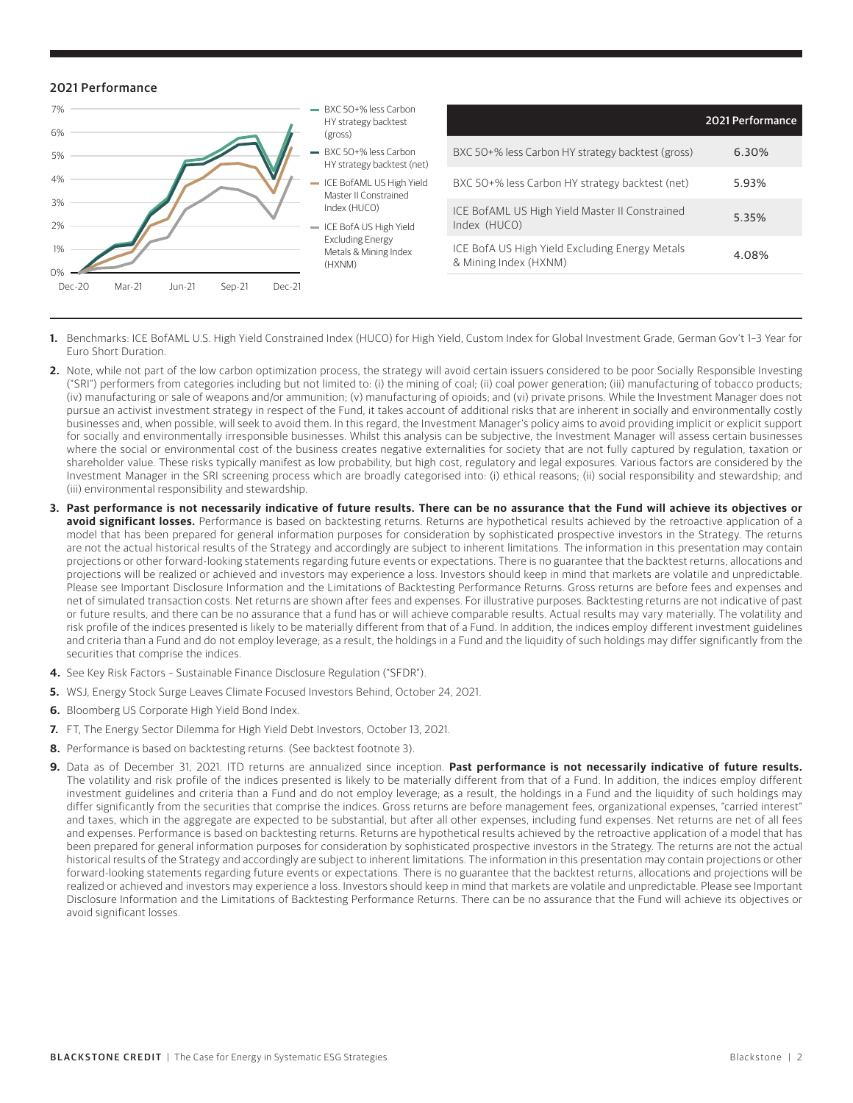#### 2021 Performance



- **1.** Benchmarks: ICE BofAML U.S. High Yield Constrained Index (HUC0) for High Yield, Custom Index for Global Investment Grade, German Gov't 1–3 Year for Euro Short Duration.
- **2.** Note, while not part of the low carbon optimization process, the strategy will avoid certain issuers considered to be poor Socially Responsible Investing ("SRI") performers from categories including but not limited to: (i) the mining of coal; (ii) coal power generation; (iii) manufacturing of tobacco products; (iv) manufacturing or sale of weapons and/or ammunition; (v) manufacturing of opioids; and (vi) private prisons. While the Investment Manager does not pursue an activist investment strategy in respect of the Fund, it takes account of additional risks that are inherent in socially and environmentally costly businesses and, when possible, will seek to avoid them. In this regard, the Investment Manager's policy aims to avoid providing implicit or explicit support for socially and environmentally irresponsible businesses. Whilst this analysis can be subjective, the Investment Manager will assess certain businesses where the social or environmental cost of the business creates negative externalities for society that are not fully captured by regulation, taxation or shareholder value. These risks typically manifest as low probability, but high cost, regulatory and legal exposures. Various factors are considered by the Investment Manager in the SRI screening process which are broadly categorised into: (i) ethical reasons; (ii) social responsibility and stewardship; and (iii) environmental responsibility and stewardship.
- **3. Past performance is not necessarily indicative of future results. There can be no assurance that the Fund will achieve its objectives or avoid significant losses.** Performance is based on backtesting returns. Returns are hypothetical results achieved by the retroactive application of a model that has been prepared for general information purposes for consideration by sophisticated prospective investors in the Strategy. The returns are not the actual historical results of the Strategy and accordingly are subject to inherent limitations. The information in this presentation may contain projections or other forward-looking statements regarding future events or expectations. There is no guarantee that the backtest returns, allocations and projections will be realized or achieved and investors may experience a loss. Investors should keep in mind that markets are volatile and unpredictable. Please see Important Disclosure Information and the Limitations of Backtesting Performance Returns. Gross returns are before fees and expenses and net of simulated transaction costs. Net returns are shown after fees and expenses. For illustrative purposes. Backtesting returns are not indicative of past or future results, and there can be no assurance that a fund has or will achieve comparable results. Actual results may vary materially. The volatility and risk profile of the indices presented is likely to be materially different from that of a Fund. In addition, the indices employ different investment guidelines and criteria than a Fund and do not employ leverage; as a result, the holdings in a Fund and the liquidity of such holdings may differ significantly from the securities that comprise the indices.
- **4.** See Key Risk Factors Sustainable Finance Disclosure Regulation ("SFDR").
- **5.** WSJ, Energy Stock Surge Leaves Climate Focused Investors Behind, October 24, 2021.
- **6.** Bloomberg US Corporate High Yield Bond Index.
- **7.** FT, The Energy Sector Dilemma for High Yield Debt Investors, October 13, 2021.
- **8.** Performance is based on backtesting returns. (See backtest footnote 3).
- **9.** Data as of December 31, 2021. ITD returns are annualized since inception. **Past performance is not necessarily indicative of future results.** The volatility and risk profile of the indices presented is likely to be materially different from that of a Fund. In addition, the indices employ different investment guidelines and criteria than a Fund and do not employ leverage; as a result, the holdings in a Fund and the liquidity of such holdings may differ significantly from the securities that comprise the indices. Gross returns are before management fees, organizational expenses, "carried interest" and taxes, which in the aggregate are expected to be substantial, but after all other expenses, including fund expenses. Net returns are net of all fees and expenses. Performance is based on backtesting returns. Returns are hypothetical results achieved by the retroactive application of a model that has been prepared for general information purposes for consideration by sophisticated prospective investors in the Strategy. The returns are not the actual historical results of the Strategy and accordingly are subject to inherent limitations. The information in this presentation may contain projections or other forward-looking statements regarding future events or expectations. There is no guarantee that the backtest returns, allocations and projections will be realized or achieved and investors may experience a loss. Investors should keep in mind that markets are volatile and unpredictable. Please see Important Disclosure Information and the Limitations of Backtesting Performance Returns. There can be no assurance that the Fund will achieve its objectives or avoid significant losses.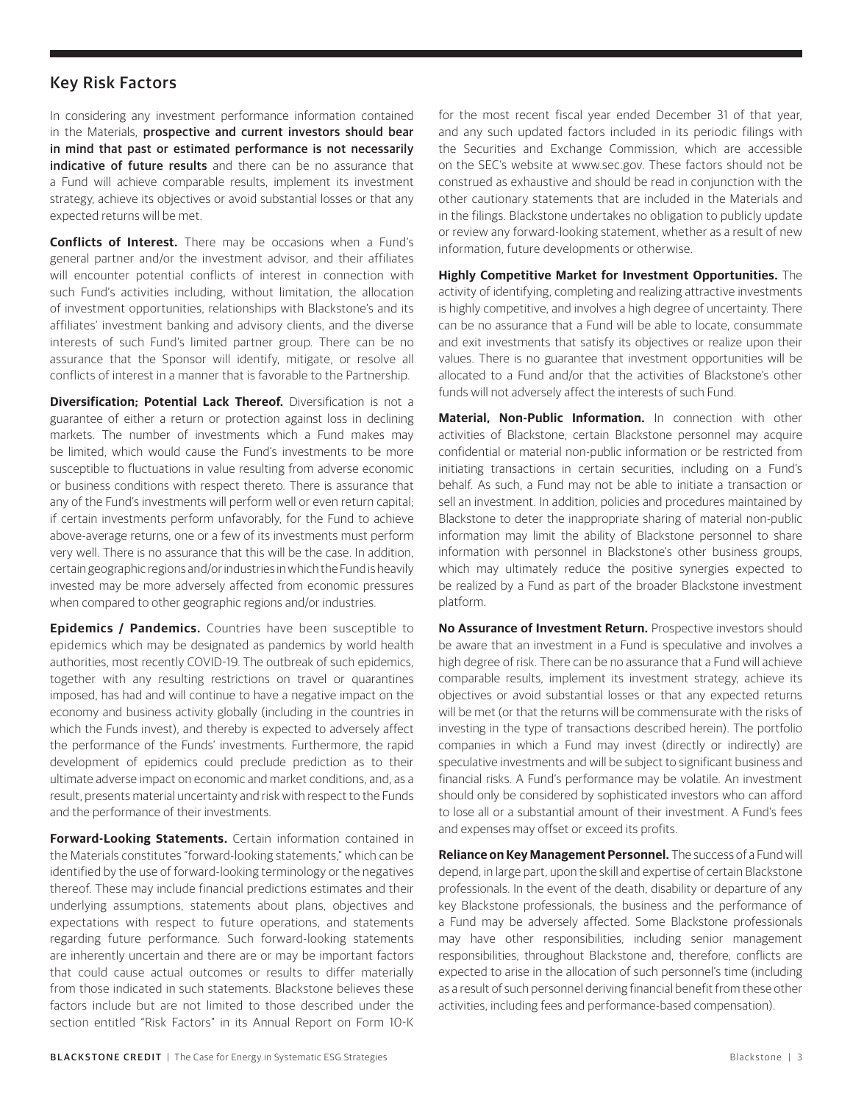### Key Risk Factors

In considering any investment performance information contained in the Materials, prospective and current investors should bear in mind that past or estimated performance is not necessarily indicative of future results and there can be no assurance that a Fund will achieve comparable results, implement its investment strategy, achieve its objectives or avoid substantial losses or that any expected returns will be met.

**Conflicts of Interest.** There may be occasions when a Fund's general partner and/or the investment advisor, and their affiliates will encounter potential conflicts of interest in connection with such Fund's activities including, without limitation, the allocation of investment opportunities, relationships with Blackstone's and its affiliates' investment banking and advisory clients, and the diverse interests of such Fund's limited partner group. There can be no assurance that the Sponsor will identify, mitigate, or resolve all conflicts of interest in a manner that is favorable to the Partnership.

**Diversification: Potential Lack Thereof.** Diversification is not a guarantee of either a return or protection against loss in declining markets. The number of investments which a Fund makes may be limited, which would cause the Fund's investments to be more susceptible to fluctuations in value resulting from adverse economic or business conditions with respect thereto. There is assurance that any of the Fund's investments will perform well or even return capital; if certain investments perform unfavorably, for the Fund to achieve above-average returns, one or a few of its investments must perform very well. There is no assurance that this will be the case. In addition, certain geographic regions and/or industries in which the Fund is heavily invested may be more adversely affected from economic pressures when compared to other geographic regions and/or industries.

**Epidemics / Pandemics.** Countries have been susceptible to epidemics which may be designated as pandemics by world health authorities, most recently COVID-19. The outbreak of such epidemics, together with any resulting restrictions on travel or quarantines imposed, has had and will continue to have a negative impact on the economy and business activity globally (including in the countries in which the Funds invest), and thereby is expected to adversely affect the performance of the Funds' investments. Furthermore, the rapid development of epidemics could preclude prediction as to their ultimate adverse impact on economic and market conditions, and, as a result, presents material uncertainty and risk with respect to the Funds and the performance of their investments.

**Forward-Looking Statements.** Certain information contained in the Materials constitutes "forward-looking statements," which can be identified by the use of forward-looking terminology or the negatives thereof. These may include financial predictions estimates and their underlying assumptions, statements about plans, objectives and expectations with respect to future operations, and statements regarding future performance. Such forward-looking statements are inherently uncertain and there are or may be important factors that could cause actual outcomes or results to differ materially from those indicated in such statements. Blackstone believes these factors include but are not limited to those described under the section entitled "Risk Factors" in its Annual Report on Form 10-K

for the most recent fiscal year ended December 31 of that year, and any such updated factors included in its periodic filings with the Securities and Exchange Commission, which are accessible on the SEC's website at www.sec.gov. These factors should not be construed as exhaustive and should be read in conjunction with the other cautionary statements that are included in the Materials and in the filings. Blackstone undertakes no obligation to publicly update or review any forward-looking statement, whether as a result of new information, future developments or otherwise.

**Highly Competitive Market for Investment Opportunities.** The activity of identifying, completing and realizing attractive investments is highly competitive, and involves a high degree of uncertainty. There can be no assurance that a Fund will be able to locate, consummate and exit investments that satisfy its objectives or realize upon their values. There is no guarantee that investment opportunities will be allocated to a Fund and/or that the activities of Blackstone's other funds will not adversely affect the interests of such Fund.

**Material, Non-Public Information.** In connection with other activities of Blackstone, certain Blackstone personnel may acquire confidential or material non-public information or be restricted from initiating transactions in certain securities, including on a Fund's behalf. As such, a Fund may not be able to initiate a transaction or sell an investment. In addition, policies and procedures maintained by Blackstone to deter the inappropriate sharing of material non-public information may limit the ability of Blackstone personnel to share information with personnel in Blackstone's other business groups, which may ultimately reduce the positive synergies expected to be realized by a Fund as part of the broader Blackstone investment platform.

**No Assurance of Investment Return.** Prospective investors should be aware that an investment in a Fund is speculative and involves a high degree of risk. There can be no assurance that a Fund will achieve comparable results, implement its investment strategy, achieve its objectives or avoid substantial losses or that any expected returns will be met (or that the returns will be commensurate with the risks of investing in the type of transactions described herein). The portfolio companies in which a Fund may invest (directly or indirectly) are speculative investments and will be subject to significant business and financial risks. A Fund's performance may be volatile. An investment should only be considered by sophisticated investors who can afford to lose all or a substantial amount of their investment. A Fund's fees and expenses may offset or exceed its profits.

**Reliance on Key Management Personnel.** The success of a Fund will depend, in large part, upon the skill and expertise of certain Blackstone professionals. In the event of the death, disability or departure of any key Blackstone professionals, the business and the performance of a Fund may be adversely affected. Some Blackstone professionals may have other responsibilities, including senior management responsibilities, throughout Blackstone and, therefore, conflicts are expected to arise in the allocation of such personnel's time (including as a result of such personnel deriving financial benefit from these other activities, including fees and performance-based compensation).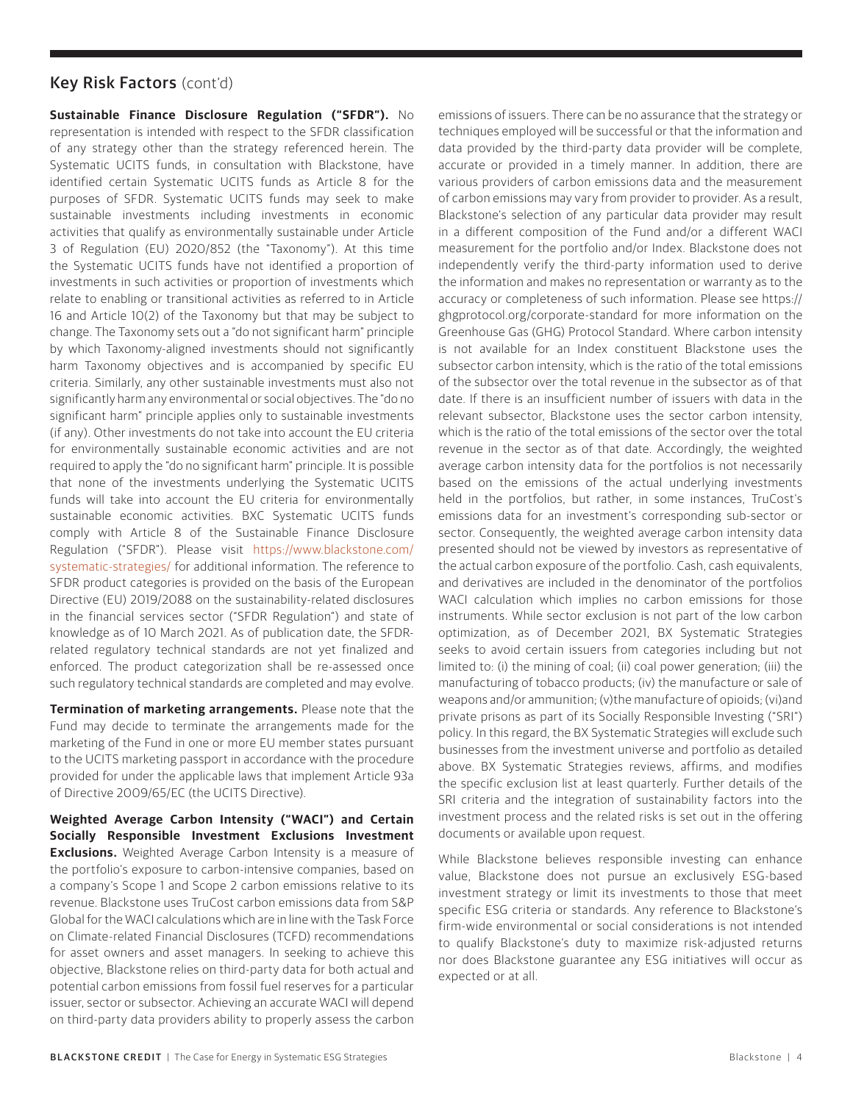#### Key Risk Factors (cont'd)

**Sustainable Finance Disclosure Regulation ("SFDR").** No representation is intended with respect to the SFDR classification of any strategy other than the strategy referenced herein. The Systematic UCITS funds, in consultation with Blackstone, have identified certain Systematic UCITS funds as Article 8 for the purposes of SFDR. Systematic UCITS funds may seek to make sustainable investments including investments in economic activities that qualify as environmentally sustainable under Article 3 of Regulation (EU) 2020/852 (the "Taxonomy"). At this time the Systematic UCITS funds have not identified a proportion of investments in such activities or proportion of investments which relate to enabling or transitional activities as referred to in Article 16 and Article 10(2) of the Taxonomy but that may be subject to change. The Taxonomy sets out a "do not significant harm" principle by which Taxonomy-aligned investments should not significantly harm Taxonomy objectives and is accompanied by specific EU criteria. Similarly, any other sustainable investments must also not significantly harm any environmental or social objectives. The "do no significant harm" principle applies only to sustainable investments (if any). Other investments do not take into account the EU criteria for environmentally sustainable economic activities and are not required to apply the "do no significant harm" principle. It is possible that none of the investments underlying the Systematic UCITS funds will take into account the EU criteria for environmentally sustainable economic activities. BXC Systematic UCITS funds comply with Article 8 of the Sustainable Finance Disclosure Regulation ("SFDR"). Please visit [https://www.blackstone.com/](https://www.blackstone.com/systematic-strategies/) [systematic-strategies/](https://www.blackstone.com/systematic-strategies/) for additional information. The reference to SFDR product categories is provided on the basis of the European Directive (EU) 2019/2088 on the sustainability-related disclosures in the financial services sector ("SFDR Regulation") and state of knowledge as of 10 March 2021. As of publication date, the SFDRrelated regulatory technical standards are not yet finalized and enforced. The product categorization shall be re-assessed once such regulatory technical standards are completed and may evolve.

**Termination of marketing arrangements.** Please note that the Fund may decide to terminate the arrangements made for the marketing of the Fund in one or more EU member states pursuant to the UCITS marketing passport in accordance with the procedure provided for under the applicable laws that implement Article 93a of Directive 2009/65/EC (the UCITS Directive).

**Weighted Average Carbon Intensity ("WACI") and Certain Socially Responsible Investment Exclusions Investment Exclusions.** Weighted Average Carbon Intensity is a measure of the portfolio's exposure to carbon-intensive companies, based on a company's Scope 1 and Scope 2 carbon emissions relative to its revenue. Blackstone uses TruCost carbon emissions data from S&P Global for the WACI calculations which are in line with the Task Force on Climate-related Financial Disclosures (TCFD) recommendations for asset owners and asset managers. In seeking to achieve this objective, Blackstone relies on third-party data for both actual and potential carbon emissions from fossil fuel reserves for a particular issuer, sector or subsector. Achieving an accurate WACI will depend on third-party data providers ability to properly assess the carbon

emissions of issuers. There can be no assurance that the strategy or techniques employed will be successful or that the information and data provided by the third-party data provider will be complete, accurate or provided in a timely manner. In addition, there are various providers of carbon emissions data and the measurement of carbon emissions may vary from provider to provider. As a result, Blackstone's selection of any particular data provider may result in a different composition of the Fund and/or a different WACI measurement for the portfolio and/or Index. Blackstone does not independently verify the third-party information used to derive the information and makes no representation or warranty as to the accuracy or completeness of such information. Please see https:// ghgprotocol.org/corporate-standard for more information on the Greenhouse Gas (GHG) Protocol Standard. Where carbon intensity is not available for an Index constituent Blackstone uses the subsector carbon intensity, which is the ratio of the total emissions of the subsector over the total revenue in the subsector as of that date. If there is an insufficient number of issuers with data in the relevant subsector, Blackstone uses the sector carbon intensity, which is the ratio of the total emissions of the sector over the total revenue in the sector as of that date. Accordingly, the weighted average carbon intensity data for the portfolios is not necessarily based on the emissions of the actual underlying investments held in the portfolios, but rather, in some instances, TruCost's emissions data for an investment's corresponding sub-sector or sector. Consequently, the weighted average carbon intensity data presented should not be viewed by investors as representative of the actual carbon exposure of the portfolio. Cash, cash equivalents, and derivatives are included in the denominator of the portfolios WACI calculation which implies no carbon emissions for those instruments. While sector exclusion is not part of the low carbon optimization, as of December 2021, BX Systematic Strategies seeks to avoid certain issuers from categories including but not limited to: (i) the mining of coal; (ii) coal power generation; (iii) the manufacturing of tobacco products; (iv) the manufacture or sale of weapons and/or ammunition; (v)the manufacture of opioids; (vi)and private prisons as part of its Socially Responsible Investing ("SRI") policy. In this regard, the BX Systematic Strategies will exclude such businesses from the investment universe and portfolio as detailed above. BX Systematic Strategies reviews, affirms, and modifies the specific exclusion list at least quarterly. Further details of the SRI criteria and the integration of sustainability factors into the investment process and the related risks is set out in the offering documents or available upon request.

While Blackstone believes responsible investing can enhance value, Blackstone does not pursue an exclusively ESG-based investment strategy or limit its investments to those that meet specific ESG criteria or standards. Any reference to Blackstone's firm-wide environmental or social considerations is not intended to qualify Blackstone's duty to maximize risk-adjusted returns nor does Blackstone guarantee any ESG initiatives will occur as expected or at all.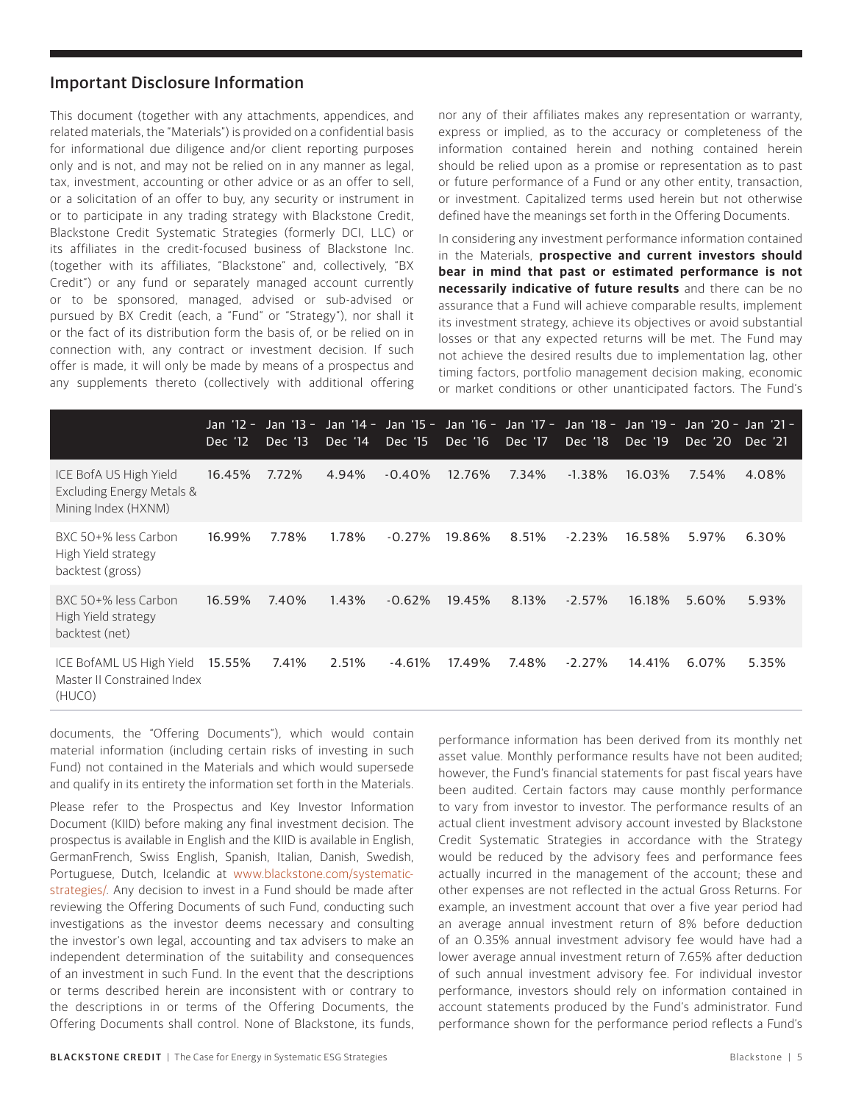#### Important Disclosure Information

This document (together with any attachments, appendices, and related materials, the "Materials") is provided on a confidential basis for informational due diligence and/or client reporting purposes only and is not, and may not be relied on in any manner as legal, tax, investment, accounting or other advice or as an offer to sell, or a solicitation of an offer to buy, any security or instrument in or to participate in any trading strategy with Blackstone Credit, Blackstone Credit Systematic Strategies (formerly DCI, LLC) or its affiliates in the credit-focused business of Blackstone Inc. (together with its affiliates, "Blackstone" and, collectively, "BX Credit") or any fund or separately managed account currently or to be sponsored, managed, advised or sub-advised or pursued by BX Credit (each, a "Fund" or "Strategy"), nor shall it or the fact of its distribution form the basis of, or be relied on in connection with, any contract or investment decision. If such offer is made, it will only be made by means of a prospectus and any supplements thereto (collectively with additional offering nor any of their affiliates makes any representation or warranty, express or implied, as to the accuracy or completeness of the information contained herein and nothing contained herein should be relied upon as a promise or representation as to past or future performance of a Fund or any other entity, transaction, or investment. Capitalized terms used herein but not otherwise defined have the meanings set forth in the Offering Documents.

In considering any investment performance information contained in the Materials, **prospective and current investors should bear in mind that past or estimated performance is not necessarily indicative of future results** and there can be no assurance that a Fund will achieve comparable results, implement its investment strategy, achieve its objectives or avoid substantial losses or that any expected returns will be met. The Fund may not achieve the desired results due to implementation lag, other timing factors, portfolio management decision making, economic or market conditions or other unanticipated factors. The Fund's

|                                                                            | Dec '12 | Dec '13 | Dec '14 | Dec '15  | Jan '12 - Jan '13 - Jan '14 - Jan '15 - Jan '16 - Jan '17 - Jan '18 - Jan '19 - Jan '20 - Jan '21 -<br>Dec '16 | Dec '17 | Dec '18   | Dec '19 | Dec '20 | Dec '21 |
|----------------------------------------------------------------------------|---------|---------|---------|----------|----------------------------------------------------------------------------------------------------------------|---------|-----------|---------|---------|---------|
| ICE BofA US High Yield<br>Excluding Energy Metals &<br>Mining Index (HXNM) | 16.45%  | 7.72%   | 4.94%   | $-0.40%$ | 12.76%                                                                                                         | 7.34%   | $-1.38%$  | 16.03%  | 7.54%   | 4.08%   |
| BXC 50+% less Carbon<br>High Yield strategy<br>backtest (gross)            | 16.99%  | 7.78%   | 1.78%   | $-0.27%$ | 19.86%                                                                                                         | 8.51%   | $-2.23%$  | 16.58%  | 5.97%   | 6.30%   |
| BXC 50+% less Carbon<br>High Yield strategy<br>backtest (net)              | 16.59%  | 7.40%   | 1.43%   | $-0.62%$ | 19.45%                                                                                                         | 8.13%   | $-2.57\%$ | 16.18%  | 5.60%   | 5.93%   |
| ICE BofAML US High Yield<br>Master II Constrained Index<br>(HUCO)          | 15.55%  | 7.41%   | 2.51%   | -4.61%   | 17.49%                                                                                                         | 7.48%   | $-2.27%$  | 14.41%  | 6.07%   | 5.35%   |

documents, the "Offering Documents"), which would contain material information (including certain risks of investing in such Fund) not contained in the Materials and which would supersede and qualify in its entirety the information set forth in the Materials.

Please refer to the Prospectus and Key Investor Information Document (KIID) before making any final investment decision. The prospectus is available in English and the KIID is available in English, GermanFrench, Swiss English, Spanish, Italian, Danish, Swedish, Portuguese, Dutch, Icelandic at [www.blackstone.com/systematic](https://www.blackstone.com/systematic-strategies/)[strategies/.](https://www.blackstone.com/systematic-strategies/) Any decision to invest in a Fund should be made after reviewing the Offering Documents of such Fund, conducting such investigations as the investor deems necessary and consulting the investor's own legal, accounting and tax advisers to make an independent determination of the suitability and consequences of an investment in such Fund. In the event that the descriptions or terms described herein are inconsistent with or contrary to the descriptions in or terms of the Offering Documents, the Offering Documents shall control. None of Blackstone, its funds, performance information has been derived from its monthly net asset value. Monthly performance results have not been audited; however, the Fund's financial statements for past fiscal years have been audited. Certain factors may cause monthly performance to vary from investor to investor. The performance results of an actual client investment advisory account invested by Blackstone Credit Systematic Strategies in accordance with the Strategy would be reduced by the advisory fees and performance fees actually incurred in the management of the account; these and other expenses are not reflected in the actual Gross Returns. For example, an investment account that over a five year period had an average annual investment return of 8% before deduction of an 0.35% annual investment advisory fee would have had a lower average annual investment return of 7.65% after deduction of such annual investment advisory fee. For individual investor performance, investors should rely on information contained in account statements produced by the Fund's administrator. Fund performance shown for the performance period reflects a Fund's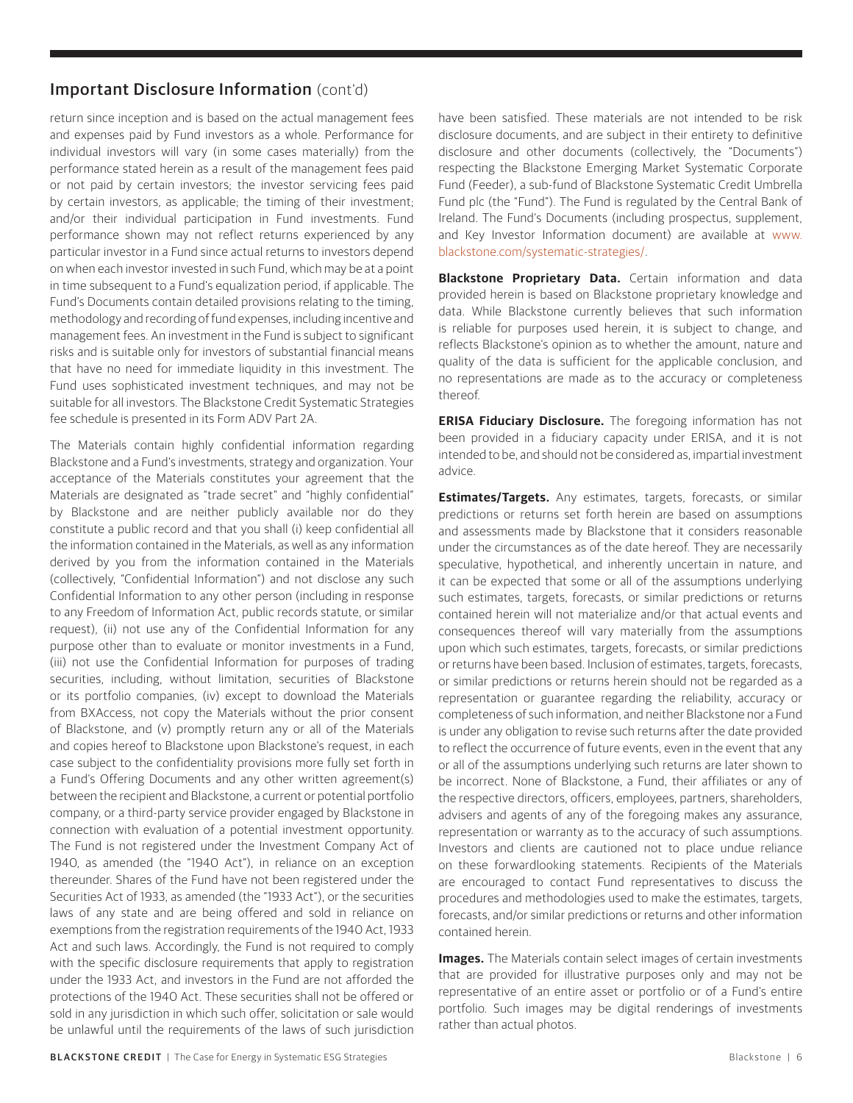## Important Disclosure Information (cont'd)

return since inception and is based on the actual management fees and expenses paid by Fund investors as a whole. Performance for individual investors will vary (in some cases materially) from the performance stated herein as a result of the management fees paid or not paid by certain investors; the investor servicing fees paid by certain investors, as applicable; the timing of their investment; and/or their individual participation in Fund investments. Fund performance shown may not reflect returns experienced by any particular investor in a Fund since actual returns to investors depend on when each investor invested in such Fund, which may be at a point in time subsequent to a Fund's equalization period, if applicable. The Fund's Documents contain detailed provisions relating to the timing, methodology and recording of fund expenses, including incentive and management fees. An investment in the Fund is subject to significant risks and is suitable only for investors of substantial financial means that have no need for immediate liquidity in this investment. The Fund uses sophisticated investment techniques, and may not be suitable for all investors. The Blackstone Credit Systematic Strategies fee schedule is presented in its Form ADV Part 2A.

The Materials contain highly confidential information regarding Blackstone and a Fund's investments, strategy and organization. Your acceptance of the Materials constitutes your agreement that the Materials are designated as "trade secret" and "highly confidential" by Blackstone and are neither publicly available nor do they constitute a public record and that you shall (i) keep confidential all the information contained in the Materials, as well as any information derived by you from the information contained in the Materials (collectively, "Confidential Information") and not disclose any such Confidential Information to any other person (including in response to any Freedom of Information Act, public records statute, or similar request), (ii) not use any of the Confidential Information for any purpose other than to evaluate or monitor investments in a Fund, (iii) not use the Confidential Information for purposes of trading securities, including, without limitation, securities of Blackstone or its portfolio companies, (iv) except to download the Materials from BXAccess, not copy the Materials without the prior consent of Blackstone, and (v) promptly return any or all of the Materials and copies hereof to Blackstone upon Blackstone's request, in each case subject to the confidentiality provisions more fully set forth in a Fund's Offering Documents and any other written agreement(s) between the recipient and Blackstone, a current or potential portfolio company, or a third-party service provider engaged by Blackstone in connection with evaluation of a potential investment opportunity. The Fund is not registered under the Investment Company Act of 1940, as amended (the "1940 Act"), in reliance on an exception thereunder. Shares of the Fund have not been registered under the Securities Act of 1933, as amended (the "1933 Act"), or the securities laws of any state and are being offered and sold in reliance on exemptions from the registration requirements of the 1940 Act, 1933 Act and such laws. Accordingly, the Fund is not required to comply with the specific disclosure requirements that apply to registration under the 1933 Act, and investors in the Fund are not afforded the protections of the 1940 Act. These securities shall not be offered or sold in any jurisdiction in which such offer, solicitation or sale would be unlawful until the requirements of the laws of such jurisdiction

have been satisfied. These materials are not intended to be risk disclosure documents, and are subject in their entirety to definitive disclosure and other documents (collectively, the "Documents") respecting the Blackstone Emerging Market Systematic Corporate Fund (Feeder), a sub-fund of Blackstone Systematic Credit Umbrella Fund plc (the "Fund"). The Fund is regulated by the Central Bank of Ireland. The Fund's Documents (including prospectus, supplement, and Key Investor Information document) are available at [www.](http://www.blackstone.com/systematic-strategies/) [blackstone.com/systematic-strategies/](http://www.blackstone.com/systematic-strategies/).

**Blackstone Proprietary Data.** Certain information and data provided herein is based on Blackstone proprietary knowledge and data. While Blackstone currently believes that such information is reliable for purposes used herein, it is subject to change, and reflects Blackstone's opinion as to whether the amount, nature and quality of the data is sufficient for the applicable conclusion, and no representations are made as to the accuracy or completeness thereof.

**ERISA Fiduciary Disclosure.** The foregoing information has not been provided in a fiduciary capacity under ERISA, and it is not intended to be, and should not be considered as, impartial investment advice.

**Estimates/Targets.** Any estimates, targets, forecasts, or similar predictions or returns set forth herein are based on assumptions and assessments made by Blackstone that it considers reasonable under the circumstances as of the date hereof. They are necessarily speculative, hypothetical, and inherently uncertain in nature, and it can be expected that some or all of the assumptions underlying such estimates, targets, forecasts, or similar predictions or returns contained herein will not materialize and/or that actual events and consequences thereof will vary materially from the assumptions upon which such estimates, targets, forecasts, or similar predictions or returns have been based. Inclusion of estimates, targets, forecasts, or similar predictions or returns herein should not be regarded as a representation or guarantee regarding the reliability, accuracy or completeness of such information, and neither Blackstone nor a Fund is under any obligation to revise such returns after the date provided to reflect the occurrence of future events, even in the event that any or all of the assumptions underlying such returns are later shown to be incorrect. None of Blackstone, a Fund, their affiliates or any of the respective directors, officers, employees, partners, shareholders, advisers and agents of any of the foregoing makes any assurance, representation or warranty as to the accuracy of such assumptions. Investors and clients are cautioned not to place undue reliance on these forwardlooking statements. Recipients of the Materials are encouraged to contact Fund representatives to discuss the procedures and methodologies used to make the estimates, targets, forecasts, and/or similar predictions or returns and other information contained herein.

**Images.** The Materials contain select images of certain investments that are provided for illustrative purposes only and may not be representative of an entire asset or portfolio or of a Fund's entire portfolio. Such images may be digital renderings of investments rather than actual photos.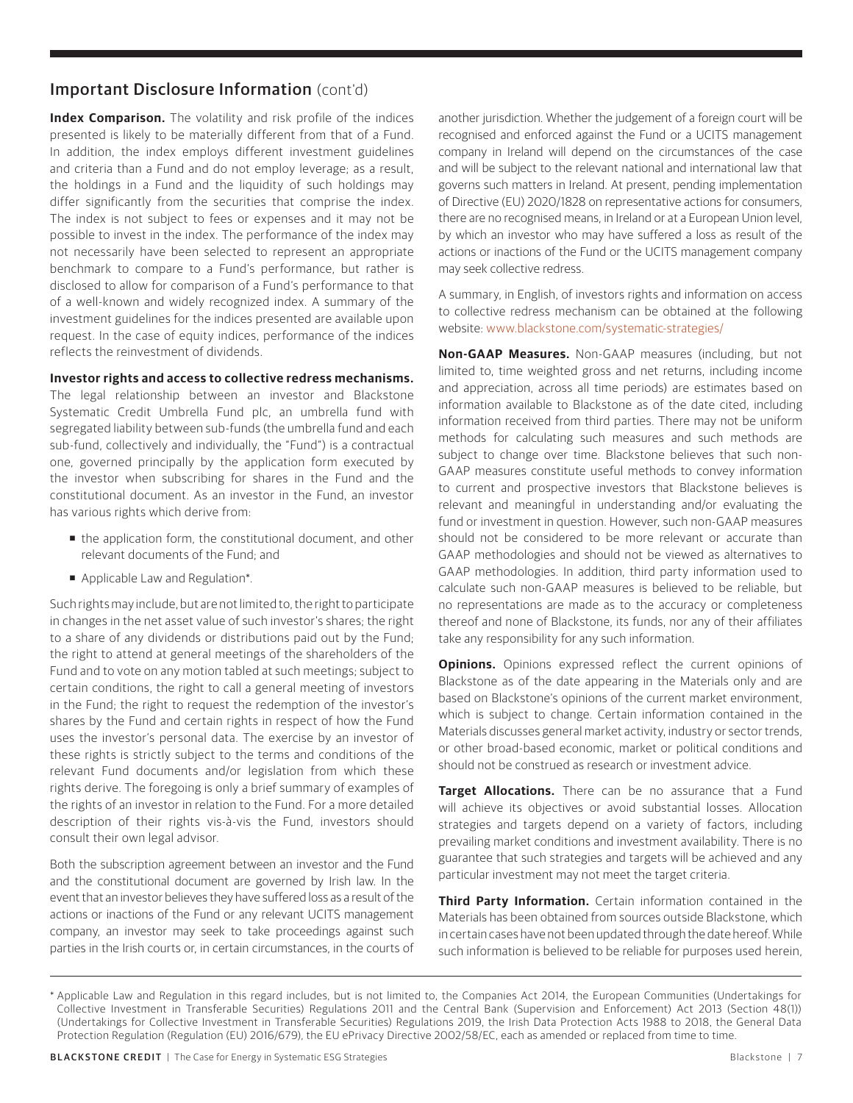## Important Disclosure Information (cont'd)

**Index Comparison.** The volatility and risk profile of the indices presented is likely to be materially different from that of a Fund. In addition, the index employs different investment guidelines and criteria than a Fund and do not employ leverage; as a result, the holdings in a Fund and the liquidity of such holdings may differ significantly from the securities that comprise the index. The index is not subject to fees or expenses and it may not be possible to invest in the index. The performance of the index may not necessarily have been selected to represent an appropriate benchmark to compare to a Fund's performance, but rather is disclosed to allow for comparison of a Fund's performance to that of a well-known and widely recognized index. A summary of the investment guidelines for the indices presented are available upon request. In the case of equity indices, performance of the indices reflects the reinvestment of dividends.

#### **Investor rights and access to collective redress mechanisms.**

The legal relationship between an investor and Blackstone Systematic Credit Umbrella Fund plc, an umbrella fund with segregated liability between sub-funds (the umbrella fund and each sub-fund, collectively and individually, the "Fund") is a contractual one, governed principally by the application form executed by the investor when subscribing for shares in the Fund and the constitutional document. As an investor in the Fund, an investor has various rights which derive from:

- the application form, the constitutional document, and other relevant documents of the Fund; and
- Applicable Law and Regulation\*.

Such rights may include, but are not limited to, the right to participate in changes in the net asset value of such investor's shares; the right to a share of any dividends or distributions paid out by the Fund; the right to attend at general meetings of the shareholders of the Fund and to vote on any motion tabled at such meetings; subject to certain conditions, the right to call a general meeting of investors in the Fund; the right to request the redemption of the investor's shares by the Fund and certain rights in respect of how the Fund uses the investor's personal data. The exercise by an investor of these rights is strictly subject to the terms and conditions of the relevant Fund documents and/or legislation from which these rights derive. The foregoing is only a brief summary of examples of the rights of an investor in relation to the Fund. For a more detailed description of their rights vis-à-vis the Fund, investors should consult their own legal advisor.

Both the subscription agreement between an investor and the Fund and the constitutional document are governed by Irish law. In the event that an investor believes they have suffered loss as a result of the actions or inactions of the Fund or any relevant UCITS management company, an investor may seek to take proceedings against such parties in the Irish courts or, in certain circumstances, in the courts of another jurisdiction. Whether the judgement of a foreign court will be recognised and enforced against the Fund or a UCITS management company in Ireland will depend on the circumstances of the case and will be subject to the relevant national and international law that governs such matters in Ireland. At present, pending implementation of Directive (EU) 2020/1828 on representative actions for consumers, there are no recognised means, in Ireland or at a European Union level, by which an investor who may have suffered a loss as result of the actions or inactions of the Fund or the UCITS management company may seek collective redress.

A summary, in English, of investors rights and information on access to collective redress mechanism can be obtained at the following website: [www.blackstone.com/systematic-strategies/](http://www.blackstone.com/systematic-strategies/)

**Non-GAAP Measures.** Non-GAAP measures (including, but not limited to, time weighted gross and net returns, including income and appreciation, across all time periods) are estimates based on information available to Blackstone as of the date cited, including information received from third parties. There may not be uniform methods for calculating such measures and such methods are subject to change over time. Blackstone believes that such non-GAAP measures constitute useful methods to convey information to current and prospective investors that Blackstone believes is relevant and meaningful in understanding and/or evaluating the fund or investment in question. However, such non-GAAP measures should not be considered to be more relevant or accurate than GAAP methodologies and should not be viewed as alternatives to GAAP methodologies. In addition, third party information used to calculate such non-GAAP measures is believed to be reliable, but no representations are made as to the accuracy or completeness thereof and none of Blackstone, its funds, nor any of their affiliates take any responsibility for any such information.

**Opinions.** Opinions expressed reflect the current opinions of Blackstone as of the date appearing in the Materials only and are based on Blackstone's opinions of the current market environment, which is subject to change. Certain information contained in the Materials discusses general market activity, industry or sector trends, or other broad-based economic, market or political conditions and should not be construed as research or investment advice.

**Target Allocations.** There can be no assurance that a Fund will achieve its objectives or avoid substantial losses. Allocation strategies and targets depend on a variety of factors, including prevailing market conditions and investment availability. There is no guarantee that such strategies and targets will be achieved and any particular investment may not meet the target criteria.

**Third Party Information.** Certain information contained in the Materials has been obtained from sources outside Blackstone, which in certain cases have not been updated through the date hereof. While such information is believed to be reliable for purposes used herein,

<sup>\*</sup> Applicable Law and Regulation in this regard includes, but is not limited to, the Companies Act 2014, the European Communities (Undertakings for Collective Investment in Transferable Securities) Regulations 2011 and the Central Bank (Supervision and Enforcement) Act 2013 (Section 48(1)) (Undertakings for Collective Investment in Transferable Securities) Regulations 2019, the Irish Data Protection Acts 1988 to 2018, the General Data Protection Regulation (Regulation (EU) 2016/679), the EU ePrivacy Directive 2002/58/EC, each as amended or replaced from time to time.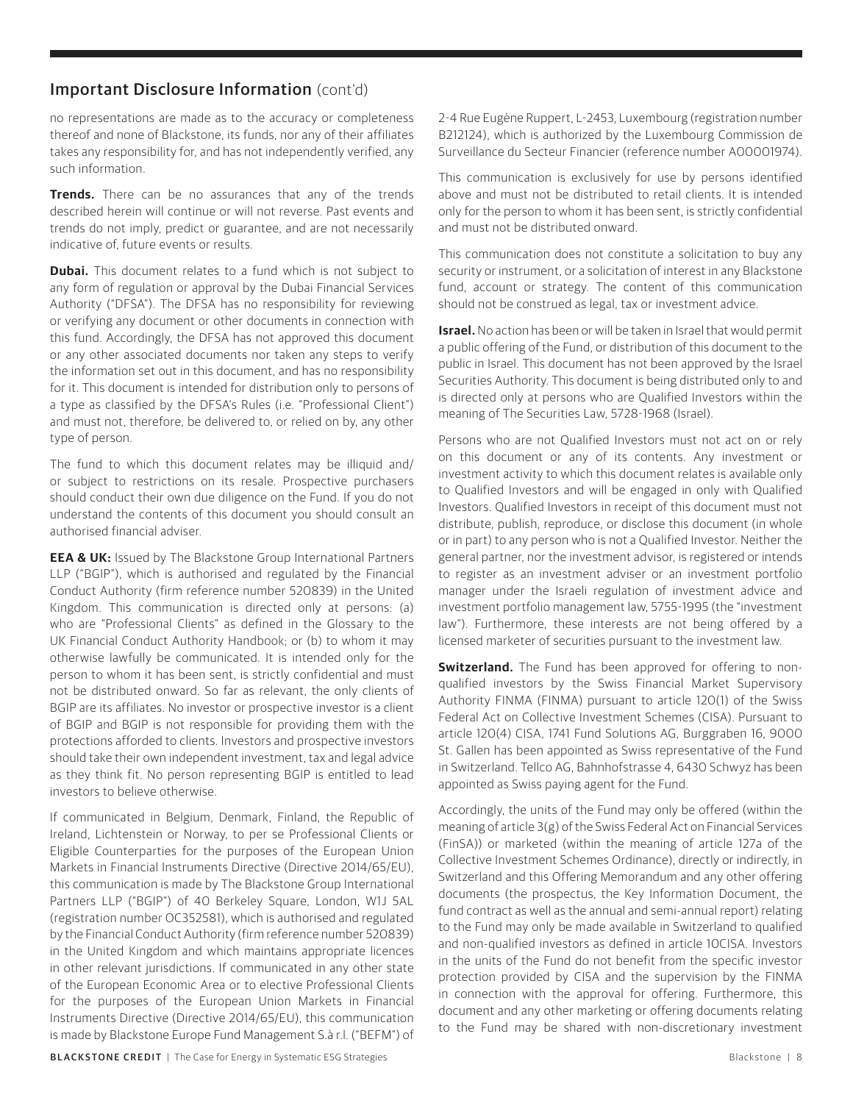## Important Disclosure Information (cont'd)

no representations are made as to the accuracy or completeness thereof and none of Blackstone, its funds, nor any of their affiliates takes any responsibility for, and has not independently verified, any such information.

**Trends.** There can be no assurances that any of the trends described herein will continue or will not reverse. Past events and trends do not imply, predict or guarantee, and are not necessarily indicative of, future events or results.

**Dubai.** This document relates to a fund which is not subject to any form of regulation or approval by the Dubai Financial Services Authority ("DFSA"). The DFSA has no responsibility for reviewing or verifying any document or other documents in connection with this fund. Accordingly, the DFSA has not approved this document or any other associated documents nor taken any steps to verify the information set out in this document, and has no responsibility for it. This document is intended for distribution only to persons of a type as classified by the DFSA's Rules (i.e. "Professional Client") and must not, therefore, be delivered to, or relied on by, any other type of person.

The fund to which this document relates may be illiquid and/ or subject to restrictions on its resale. Prospective purchasers should conduct their own due diligence on the Fund. If you do not understand the contents of this document you should consult an authorised financial adviser.

**EEA & UK:** Issued by The Blackstone Group International Partners LLP ("BGIP"), which is authorised and regulated by the Financial Conduct Authority (firm reference number 520839) in the United Kingdom. This communication is directed only at persons: (a) who are "Professional Clients" as defined in the Glossary to the UK Financial Conduct Authority Handbook; or (b) to whom it may otherwise lawfully be communicated. It is intended only for the person to whom it has been sent, is strictly confidential and must not be distributed onward. So far as relevant, the only clients of BGIP are its affiliates. No investor or prospective investor is a client of BGIP and BGIP is not responsible for providing them with the protections afforded to clients. Investors and prospective investors should take their own independent investment, tax and legal advice as they think fit. No person representing BGIP is entitled to lead investors to believe otherwise.

If communicated in Belgium, Denmark, Finland, the Republic of Ireland, Lichtenstein or Norway, to per se Professional Clients or Eligible Counterparties for the purposes of the European Union Markets in Financial Instruments Directive (Directive 2014/65/EU), this communication is made by The Blackstone Group International Partners LLP ("BGIP") of 40 Berkeley Square, London, W1J 5AL (registration number OC352581), which is authorised and regulated by the Financial Conduct Authority (firm reference number 520839) in the United Kingdom and which maintains appropriate licences in other relevant jurisdictions. If communicated in any other state of the European Economic Area or to elective Professional Clients for the purposes of the European Union Markets in Financial Instruments Directive (Directive 2014/65/EU), this communication is made by Blackstone Europe Fund Management S.à r.l. ("BEFM") of

BLACKSTONE CREDIT | The Case for Energy in Systematic ESG Strategies Blackstone | 8

2-4 Rue Eugène Ruppert, L-2453, Luxembourg (registration number B212124), which is authorized by the Luxembourg Commission de Surveillance du Secteur Financier (reference number A00001974).

This communication is exclusively for use by persons identified above and must not be distributed to retail clients. It is intended only for the person to whom it has been sent, is strictly confidential and must not be distributed onward.

This communication does not constitute a solicitation to buy any security or instrument, or a solicitation of interest in any Blackstone fund, account or strategy. The content of this communication should not be construed as legal, tax or investment advice.

**Israel.** No action has been or will be taken in Israel that would permit a public offering of the Fund, or distribution of this document to the public in Israel. This document has not been approved by the Israel Securities Authority. This document is being distributed only to and is directed only at persons who are Qualified Investors within the meaning of The Securities Law, 5728-1968 (Israel).

Persons who are not Qualified Investors must not act on or rely on this document or any of its contents. Any investment or investment activity to which this document relates is available only to Qualified Investors and will be engaged in only with Qualified Investors. Qualified Investors in receipt of this document must not distribute, publish, reproduce, or disclose this document (in whole or in part) to any person who is not a Qualified Investor. Neither the general partner, nor the investment advisor, is registered or intends to register as an investment adviser or an investment portfolio manager under the Israeli regulation of investment advice and investment portfolio management law, 5755-1995 (the "investment law"). Furthermore, these interests are not being offered by a licensed marketer of securities pursuant to the investment law.

**Switzerland.** The Fund has been approved for offering to nonqualified investors by the Swiss Financial Market Supervisory Authority FINMA (FINMA) pursuant to article 120(1) of the Swiss Federal Act on Collective Investment Schemes (CISA). Pursuant to article 120(4) CISA, 1741 Fund Solutions AG, Burggraben 16, 9000 St. Gallen has been appointed as Swiss representative of the Fund in Switzerland. Tellco AG, Bahnhofstrasse 4, 6430 Schwyz has been appointed as Swiss paying agent for the Fund.

Accordingly, the units of the Fund may only be offered (within the meaning of article 3(g) of the Swiss Federal Act on Financial Services (FinSA)) or marketed (within the meaning of article 127a of the Collective Investment Schemes Ordinance), directly or indirectly, in Switzerland and this Offering Memorandum and any other offering documents (the prospectus, the Key Information Document, the fund contract as well as the annual and semi-annual report) relating to the Fund may only be made available in Switzerland to qualified and non-qualified investors as defined in article 10CISA. Investors in the units of the Fund do not benefit from the specific investor protection provided by CISA and the supervision by the FINMA in connection with the approval for offering. Furthermore, this document and any other marketing or offering documents relating to the Fund may be shared with non-discretionary investment